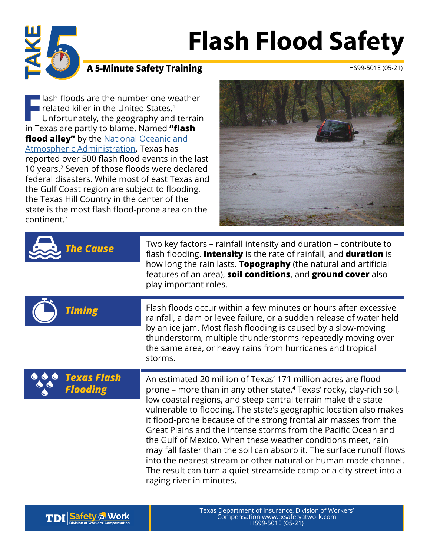# **Flash Flood Safety**



### **A 5-Minute Safety Training** HS99-501E (05-21)

**F** lash floods are the number one weather related killer in the United States.<sup>1</sup><br>Unfortunately, the geography and terrain Texas are partly to blame. Named **"flash I** lash floods are the number one weather- $\blacksquare$  related killer in the United States.<sup>1</sup> Unfortunately, the geography and terrain **flood alley"** by the National Oceanic and [Atmospheric Administration](https://cdn.ymaws.com/www.tfma.org/resource/resmgr/SpringConference2016Presentations/Friday_2_-_NOAA_Arellano.pdf), Texas has reported over 500 flash flood events in the last 10 years.2 Seven of those floods were declared federal disasters. While most of east Texas and the Gulf Coast region are subject to flooding, the Texas Hill Country in the center of the state is the most flash flood-prone area on the continent.<sup>3</sup>



| <b>The Cause</b>               | Two key factors – rainfall intensity and duration – contribute to<br>flash flooding. Intensity is the rate of rainfall, and duration is<br>how long the rain lasts. Topography (the natural and artificial<br>features of an area), soil conditions, and ground cover also<br>play important roles.                                                                                                                                                                                                                                                                                                                                                                                                                                            |
|--------------------------------|------------------------------------------------------------------------------------------------------------------------------------------------------------------------------------------------------------------------------------------------------------------------------------------------------------------------------------------------------------------------------------------------------------------------------------------------------------------------------------------------------------------------------------------------------------------------------------------------------------------------------------------------------------------------------------------------------------------------------------------------|
| <b>Timing</b>                  | Flash floods occur within a few minutes or hours after excessive<br>rainfall, a dam or levee failure, or a sudden release of water held<br>by an ice jam. Most flash flooding is caused by a slow-moving<br>thunderstorm, multiple thunderstorms repeatedly moving over<br>the same area, or heavy rains from hurricanes and tropical<br>storms.                                                                                                                                                                                                                                                                                                                                                                                               |
| Texas Flash<br><b>Flooding</b> | An estimated 20 million of Texas' 171 million acres are flood-<br>prone – more than in any other state. <sup>4</sup> Texas' rocky, clay-rich soil,<br>low coastal regions, and steep central terrain make the state<br>vulnerable to flooding. The state's geographic location also makes<br>it flood-prone because of the strong frontal air masses from the<br>Great Plains and the intense storms from the Pacific Ocean and<br>the Gulf of Mexico. When these weather conditions meet, rain<br>may fall faster than the soil can absorb it. The surface runoff flows<br>into the nearest stream or other natural or human-made channel.<br>The result can turn a quiet streamside camp or a city street into a<br>raging river in minutes. |

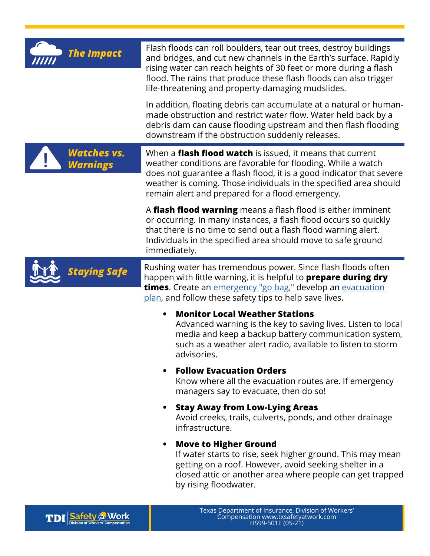| <b>The Impact</b>              | Flash floods can roll boulders, tear out trees, destroy buildings<br>and bridges, and cut new channels in the Earth's surface. Rapidly<br>rising water can reach heights of 30 feet or more during a flash<br>flood. The rains that produce these flash floods can also trigger<br>life-threatening and property-damaging mudslides. |
|--------------------------------|--------------------------------------------------------------------------------------------------------------------------------------------------------------------------------------------------------------------------------------------------------------------------------------------------------------------------------------|
|                                | In addition, floating debris can accumulate at a natural or human-<br>made obstruction and restrict water flow. Water held back by a<br>debris dam can cause flooding upstream and then flash flooding<br>downstream if the obstruction suddenly releases.                                                                           |
| Watches vs.<br><b>Warnings</b> | When a <b>flash flood watch</b> is issued, it means that current<br>weather conditions are favorable for flooding. While a watch<br>does not guarantee a flash flood, it is a good indicator that severe<br>weather is coming. Those individuals in the specified area should<br>remain alert and prepared for a flood emergency.    |
|                                | A flash flood warning means a flash flood is either imminent<br>or occurring. In many instances, a flash flood occurs so quickly<br>that there is no time to send out a flash flood warning alert.<br>Individuals in the specified area should move to safe ground<br>immediately.                                                   |
| Staying Safe                   | Rushing water has tremendous power. Since flash floods often<br>happen with little warning, it is helpful to <b>prepare during dry</b><br><b>times.</b> Create an <i>emergency</i> "go bag," develop an <i>evacuation</i><br>plan, and follow these safety tips to help save lives.                                                  |
|                                | <b>Monitor Local Weather Stations</b><br>Advanced warning is the key to saving lives. Listen to local<br>media and keep a backup battery communication system,<br>such as a weather alert radio, available to listen to storm<br>advisories.                                                                                         |
|                                | <b>Follow Evacuation Orders</b><br>Know where all the evacuation routes are. If emergency<br>managers say to evacuate, then do so!                                                                                                                                                                                                   |
|                                | <b>Stay Away from Low-Lying Areas</b><br>Avoid creeks, trails, culverts, ponds, and other drainage<br>infrastructure.                                                                                                                                                                                                                |
|                                | Move to Higher Ground<br>If water starts to rise, seek higher ground. This may mean<br>getting on a roof. However, avoid seeking shelter in a<br>closed attic or another area where people can get trapped<br>by rising floodwater.                                                                                                  |

**TDI** Safety @ Work

Texas Department of Insurance, Division of Workers' Compensation www.txsafetyatwork.com HS01-014E (08-20) (08-20) Workers' HS99-501E (05-21)